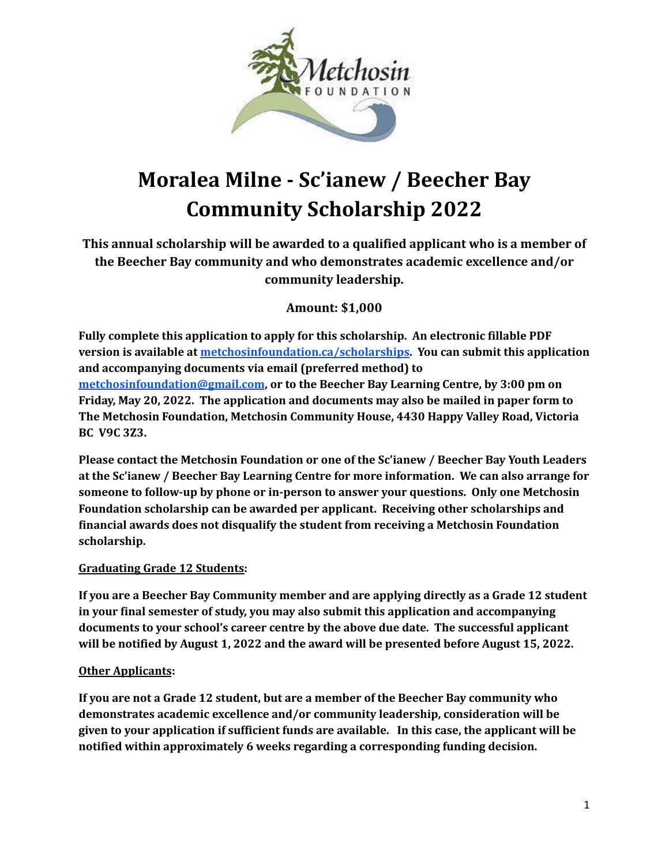

# **Moralea Milne - Sc'ianew / Beecher Bay Community Scholarship 2022**

**This annual scholarship will be awarded to a qualified applicant who is a member of the Beecher Bay community and who demonstrates academic excellence and/or community leadership.**

#### **Amount: \$1,000**

**Motion Control is a state of the state of the state of the state of the state of the state of the state of the state of the state of the state of the state of the state of the state of the state of the state of the state Fully complete this application to apply for this scholarship. An electronic fillable PDF version is available at [metchosinfoundation.ca/scholarships.](http://metchosinfoundation.ca/scholarships) You can submit this application and accompanying documents via email (preferred method) to [metchosinfoundation@gmail.com](mailto:metchosinfoundation@gmail.com), or to the Beecher Bay Learning Centre, by 3:00 pm on Friday, May 20, 2022. The application and documents may also be mailed in paper form to The Metchosin Foundation, Metchosin Community House, 4430 Happy Valley Road, Victoria BC V9C 3Z3.**

**Please contact the Metchosin Foundation or one of the Sc'ianew / Beecher Bay Youth Leaders at the Sc'ianew / Beecher Bay Learning Centre for more information. We can also arrange for someone to follow-up by phone or in-person to answer your questions. Only one Metchosin Foundation scholarship can be awarded per applicant. Receiving other scholarships and financial awards does not disqualify the student from receiving a Metchosin Foundation scholarship.**

#### **Graduating Grade 12 Students:**

**If you are a Beecher Bay Community member and are applying directly as a Grade 12 student in your final semester of study, you may also submit this application and accompanying documents to your school's career centre by the above due date. The successful applicant will be notified by August 1, 2022 and the award will be presented before August 15, 2022.**

#### **Other Applicants:**

**If you are not a Grade 12 student, but are a member of the Beecher Bay community who demonstrates academic excellence and/or community leadership, consideration will be given to your application if sufficient funds are available. In this case, the applicant will be notified within approximately 6 weeks regarding a corresponding funding decision.**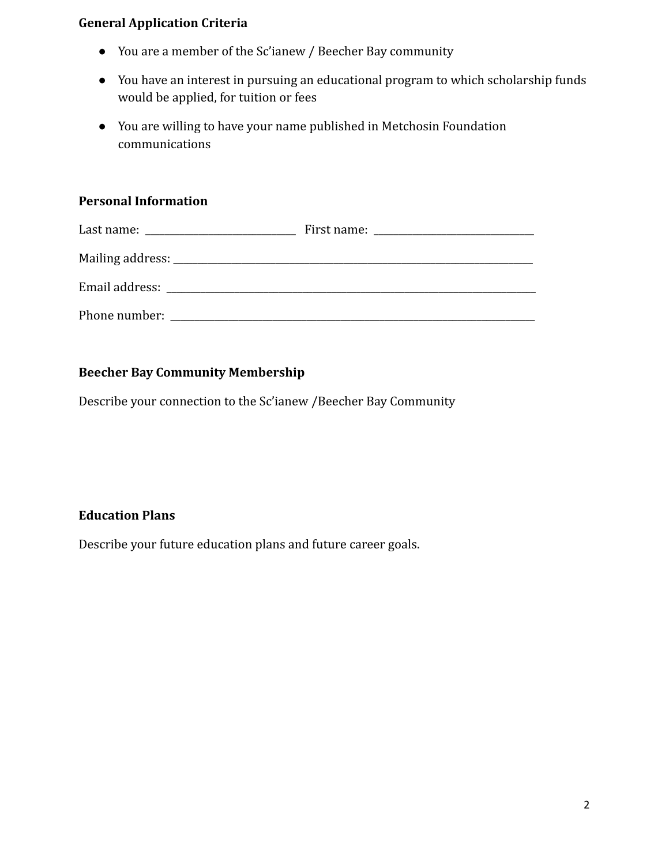### **General Application Criteria**

- You are a member of the Sc'ianew / Beecher Bay community
- You have an interest in pursuing an educational program to which scholarship funds would be applied, for tuition or fees
- You are willing to have your name published in Metchosin Foundation communications

## **Personal Information**

| • You are a member of the Sc'ianew / Beecher Bay community                                                                    |                |
|-------------------------------------------------------------------------------------------------------------------------------|----------------|
| • You have an interest in pursuing an educational program to which scholarship funds<br>would be applied, for tuition or fees |                |
| • You are willing to have your name published in Metchosin Foundation<br>communications                                       |                |
| <b>Personal Information</b>                                                                                                   |                |
|                                                                                                                               |                |
|                                                                                                                               |                |
|                                                                                                                               |                |
|                                                                                                                               |                |
|                                                                                                                               |                |
| <b>Beecher Bay Community Membership</b>                                                                                       |                |
| Describe your connection to the Sc'ianew / Beecher Bay Community                                                              |                |
|                                                                                                                               |                |
|                                                                                                                               |                |
|                                                                                                                               |                |
| <b>Education Plans</b>                                                                                                        |                |
| Describe your future education plans and future career goals.                                                                 |                |
|                                                                                                                               |                |
|                                                                                                                               |                |
|                                                                                                                               |                |
|                                                                                                                               |                |
|                                                                                                                               |                |
|                                                                                                                               |                |
|                                                                                                                               | $\overline{2}$ |

### **Beecher Bay Community Membership**

## **Education Plans**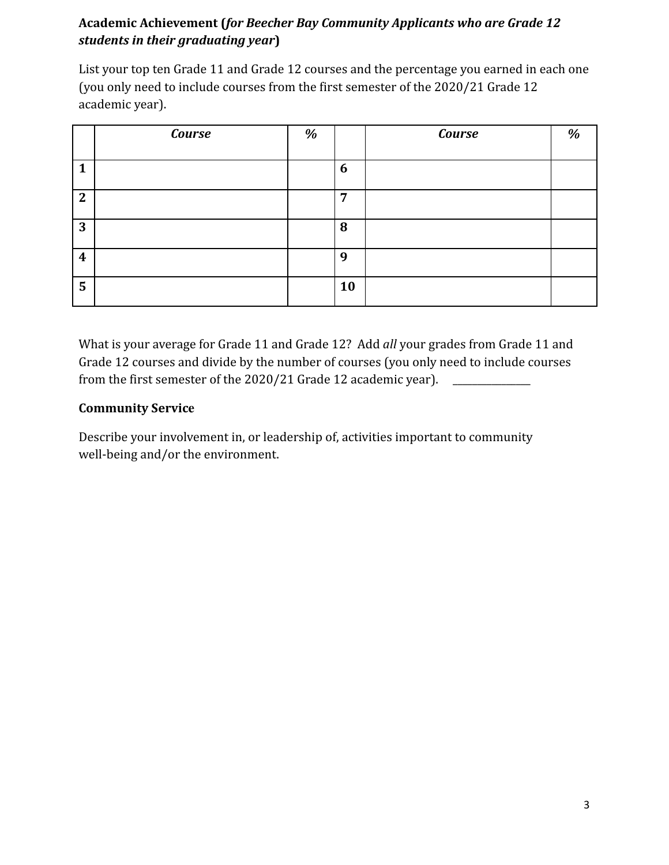## **Academic Achievement (***for Beecher Bay Community Applicants who are Grade 12 students in their graduating year***)**

| academic year).  |                                                                                                                                                                                                                                                                                                                                  |   |                |        |   |
|------------------|----------------------------------------------------------------------------------------------------------------------------------------------------------------------------------------------------------------------------------------------------------------------------------------------------------------------------------|---|----------------|--------|---|
|                  | Course                                                                                                                                                                                                                                                                                                                           | % |                | Course | % |
| $\mathbf{1}$     |                                                                                                                                                                                                                                                                                                                                  |   | 6              |        |   |
| $\overline{2}$   |                                                                                                                                                                                                                                                                                                                                  |   | $\overline{7}$ |        |   |
| $\overline{3}$   |                                                                                                                                                                                                                                                                                                                                  |   | 8              |        |   |
| $\boldsymbol{4}$ |                                                                                                                                                                                                                                                                                                                                  |   | 9              |        |   |
| $5\overline{)}$  |                                                                                                                                                                                                                                                                                                                                  |   | 10             |        |   |
|                  | Grade 12 courses and divide by the number of courses (you only need to include courses<br>from the first semester of the 2020/21 Grade 12 academic year). _______________<br><b>Community Service</b><br>Describe your involvement in, or leadership of, activities important to community<br>well-being and/or the environment. |   |                |        |   |
|                  |                                                                                                                                                                                                                                                                                                                                  |   |                |        |   |
|                  |                                                                                                                                                                                                                                                                                                                                  |   |                |        |   |
|                  |                                                                                                                                                                                                                                                                                                                                  |   |                |        |   |
|                  |                                                                                                                                                                                                                                                                                                                                  |   |                |        |   |

### **Community Service**